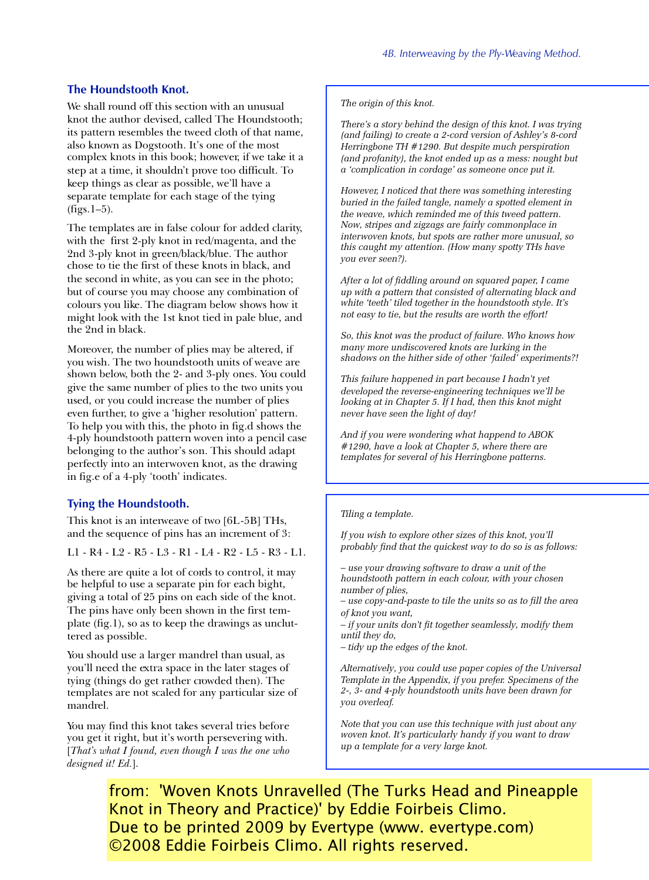## **The Houndstooth Knot.**

We shall round off this section with an unusual knot the author devised, called The Houndstooth; its pattern resembles the tweed cloth of that name, also known as Dogstooth. It's one of the most complex knots in this book; however, if we take it a step at a time, it shouldn't prove too difficult. To keep things as clear as possible, we'll have a separate template for each stage of the tying  $(figs.1–5)$ .

The templates are in false colour for added clarity, with the first 2-ply knot in red/magenta, and the 2nd 3-ply knot in green/black/blue. The author chose to tie the first of these knots in black, and the second in white, as you can see in the photo; but of course you may choose any combination of colours you like. The diagram below shows how it might look with the 1st knot tied in pale blue, and the 2nd in black.

Moreover, the number of plies may be altered, if you wish. The two houndstooth units of weave are shown below, both the 2- and 3-ply ones. You could give the same number of plies to the two units you used, or you could increase the number of plies even further, to give a 'higher resolution' pattern. To help you with this, the photo in fig.d shows the 4-ply houndstooth pattern woven into a pencil case belonging to the author's son. This should adapt perfectly into an interwoven knot, as the drawing in fig.e of a 4-ply 'tooth' indicates.

## **Tying the Houndstooth.**

This knot is an interweave of two [6L-5B] THs, and the sequence of pins has an increment of 3:

L1 - R4 - L2 - R5 - L3 - R1 - L4 - R2 - L5 - R3 - L1.

As there are quite a lot of cords to control, it may be helpful to use a separate pin for each bight, giving a total of 25 pins on each side of the knot. The pins have only been shown in the first template (fig.1), so as to keep the drawings as uncluttered as possible.

You should use a larger mandrel than usual, as you'll need the extra space in the later stages of tying (things do get rather crowded then). The templates are not scaled for any particular size of mandrel.

You may find this knot takes several tries before you get it right, but it's worth persevering with. [*That's what I found, even though I was the one who designed it! Ed.*].

*The origin of this knot.*

*There's a story behind the design of this knot. I was trying (and failing) to create a 2-cord version of Ashley's 8-cord Herringbone TH #1290. But despite much perspiration (and profanity), the knot ended up as a mess: nought but a 'complication in cordage' as someone once put it.*

*However, I noticed that there was something interesting buried in the failed tangle, namely a spotted element in the weave, which reminded me of this tweed pattern. Now, stripes and zigzags are fairly commonplace in interwoven knots, but spots are rather more unusual, so this caught my attention. (How many spotty THs have you ever seen?).*

*After a lot of fiddling around on squared paper, I came up with a pattern that consisted of alternating black and white 'teeth' tiled together in the houndstooth style. It's not easy to tie, but the results are worth the effort!*

*So, this knot was the product of failure. Who knows how many more undiscovered knots are lurking in the shadows on the hither side of other 'failed' experiments?!*

*This failure happened in part because I hadn't yet developed the reverse-engineering techniques we'll be looking at in Chapter 5. If I had, then this knot might never have seen the light of day!*

*And if you were wondering what happend to ABOK #1290, have a look at Chapter 5, where there are templates for several of his Herringbone patterns.*

## *Tiling a template.*

*If you wish to explore other sizes of this knot, you'll probably find that the quickest way to do so is as follows:*

*– use your drawing software to draw a unit of the houndstooth pattern in each colour, with your chosen number of plies,*

*– use copy-and-paste to tile the units so as to fill the area of knot you want,*

*– if your units don't fit together seamlessly, modify them until they do,*

*– tidy up the edges of the knot.*

*Alternatively, you could use paper copies of the Universal Template in the Appendix, if you prefer. Specimens of the 2-, 3- and 4-ply houndstooth units have been drawn for you overleaf.*

*Note that you can use this technique with just about any woven knot. It's particularly handy if you want to draw up a template for a very large knot.*

Knot in Theory and Practice)' by Eddie Foirbeis Climo. from: 'Woven Knots Unravelled (The Turks Head and Pineapple Due to be printed 2009 by Evertype (www. evertype.com) ©2008 Eddie Foirbeis Climo. All rights reserved.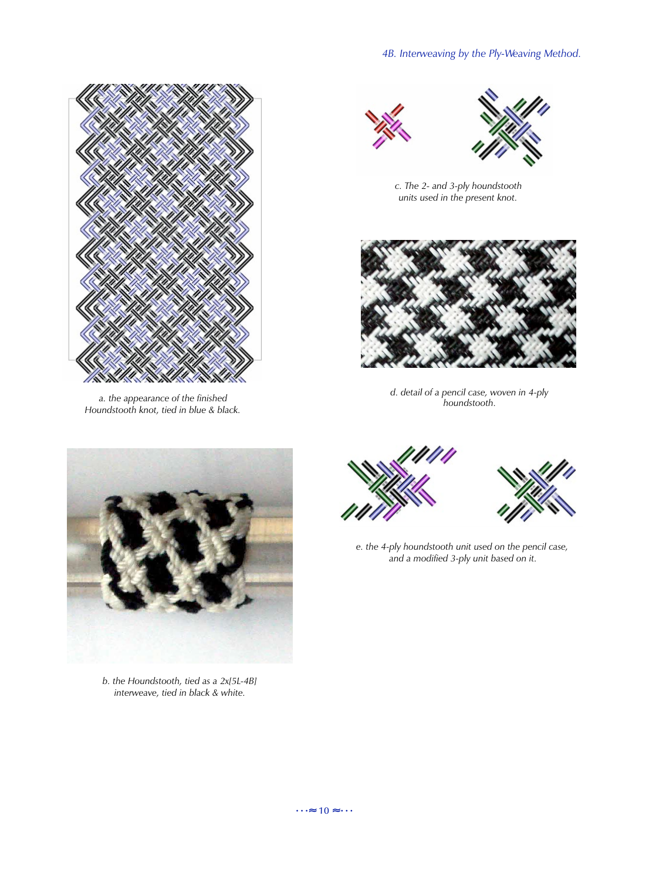

*a. the appearance of the finished Houndstooth knot, tied in blue & black.*





*c. The 2- and 3-ply houndstooth units used in the present knot.*



*d. detail of a pencil case, woven in 4-ply houndstooth.*



*b. the Houndstooth, tied as a 2x[5L-4B] interweave, tied in black & white.*





*e. the 4-ply houndstooth unit used on the pencil case, and a modified 3-ply unit based on it.*